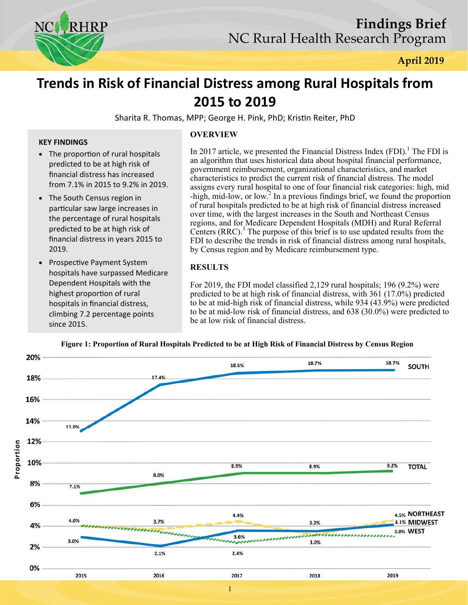

# **Trends in Risk of Financial Distress among Rural Hospitals from 2015 to 2019**

Sharita R. Thomas, MPP; George H. Pink, PhD; Kristin Reiter, PhD

#### **KEY FINDINGS**

- The proportion of rural hospitals predicted to be at high risk of financial distress has increased from 7.1% in 2015 to 9.2% in 2019.
- The South Census region in particular saw large increases in the percentage of rural hospitals predicted to be at high risk of financial distress in years 2015 to 2019.
- Prospective Payment System hospitals have surpassed Medicare Dependent Hospitals with the highest proportion of rural hospitals in financial distress, climbing 7.2 percentage points since 2015.

## **OVERVIEW**

In 2017 article, we presented the Financial Distress Index  $(FDI)$ .<sup>1</sup> The FDI is an algorithm that uses historical data about hospital financial performance, government reimbursement, organizational characteristics, and market characteristics to predict the current risk of financial distress. The model assigns every rural hospital to one of four financial risk categories: high, mid  $-$ high, mid-low, or low.<sup>2</sup> In a previous findings brief, we found the proportion of rural hospitals predicted to be at high risk of financial distress increased over time, with the largest increases in the South and Northeast Census regions, and for Medicare Dependent Hospitals (MDH) and Rural Referral Centers (RRC).<sup>3</sup> The purpose of this brief is to use updated results from the FDI to describe the trends in risk of financial distress among rural hospitals, by Census region and by Medicare reimbursement type.

# **RESULTS**

For 2019, the FDI model classified 2,129 rural hospitals; 196 (9.2%) were predicted to be at high risk of financial distress, with 361 (17.0%) predicted to be at mid-high risk of financial distress, while 934 (43.9%) were predicted to be at mid-low risk of financial distress, and 638 (30.0%) were predicted to be at low risk of financial distress.



#### **Figure 1: Proportion of Rural Hospitals Predicted to be at High Risk of Financial Distress by Census Region**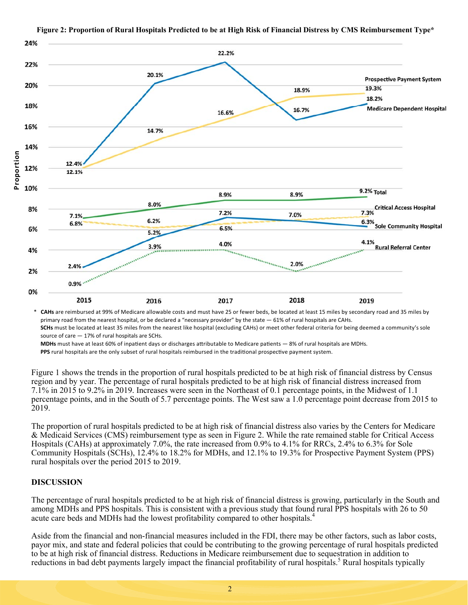

#### **Figure 2: Proportion of Rural Hospitals Predicted to be at High Risk of Financial Distress by CMS Reimbursement Type\***

CAHs are reimbursed at 99% of Medicare allowable costs and must have 25 or fewer beds, be located at least 15 miles by secondary road and 35 miles by primary road from the nearest hospital, or be declared a "necessary provider" by the state  $-61\%$  of rural hospitals are CAHs. **SCHs** must be located at least 35 miles from the nearest like hospital (excluding CAHs) or meet other federal criteria for being deemed a community's sole source of care — 17% of rural hospitals are SCHs.

MDHs must have at least 60% of inpatient days or discharges attributable to Medicare patients - 8% of rural hospitals are MDHs. PPS rural hospitals are the only subset of rural hospitals reimbursed in the traditional prospective payment system.

Figure 1 shows the trends in the proportion of rural hospitals predicted to be at high risk of financial distress by Census region and by year. The percentage of rural hospitals predicted to be at high risk of financial distress increased from 7.1% in 2015 to 9.2% in 2019. Increases were seen in the Northeast of 0.1 percentage points, in the Midwest of 1.1 percentage points, and in the South of 5.7 percentage points. The West saw a 1.0 percentage point decrease from 2015 to 2019.

The proportion of rural hospitals predicted to be at high risk of financial distress also varies by the Centers for Medicare & Medicaid Services (CMS) reimbursement type as seen in Figure 2. While the rate remained stable for Critical Access Hospitals (CAHs) at approximately 7.0%, the rate increased from 0.9% to 4.1% for RRCs, 2.4% to 6.3% for Sole Community Hospitals (SCHs), 12.4% to 18.2% for MDHs, and 12.1% to 19.3% for Prospective Payment System (PPS) rural hospitals over the period 2015 to 2019.

## **DISCUSSION**

The percentage of rural hospitals predicted to be at high risk of financial distress is growing, particularly in the South and among MDHs and PPS hospitals. This is consistent with a previous study that found rural PPS hospitals with 26 to 50 acute care beds and MDHs had the lowest profitability compared to other hospitals.<sup>4</sup>

Aside from the financial and non-financial measures included in the FDI, there may be other factors, such as labor costs, payor mix, and state and federal policies that could be contributing to the growing percentage of rural hospitals predicted to be at high risk of financial distress. Reductions in Medicare reimbursement due to sequestration in addition to reductions in bad debt payments largely impact the financial profitability of rural hospitals.<sup>5</sup> Rural hospitals typically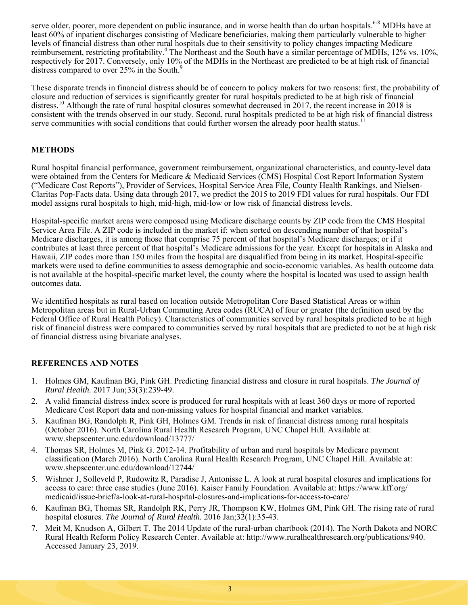serve older, poorer, more dependent on public insurance, and in worse health than do urban hospitals.<sup>6-8</sup> MDHs have at least 60% of inpatient discharges consisting of Medicare beneficiaries, making them particularly vulnerable to higher levels of financial distress than other rural hospitals due to their sensitivity to policy changes impacting Medicare reimbursement, restricting profitability.<sup>4</sup> The Northeast and the South have a similar percentage of MDHs, 12% vs. 10%, respectively for 2017. Conversely, only 10% of the MDHs in the Northeast are predicted to be at high risk of financial distress compared to over 25% in the South.<sup>9</sup>

These disparate trends in financial distress should be of concern to policy makers for two reasons: first, the probability of closure and reduction of services is significantly greater for rural hospitals predicted to be at high risk of financial distress.<sup>10</sup> Although the rate of rural hospital closures somewhat decreased in 2017, the recent increase in 2018 is consistent with the trends observed in our study. Second, rural hospitals predicted to be at high risk of financial distress serve communities with social conditions that could further worsen the already poor health status.<sup>11</sup>

# **METHODS**

Rural hospital financial performance, government reimbursement, organizational characteristics, and county-level data were obtained from the Centers for Medicare & Medicaid Services (CMS) Hospital Cost Report Information System ("Medicare Cost Reports"), Provider of Services, Hospital Service Area File, County Health Rankings, and Nielsen-Claritas Pop-Facts data. Using data through 2017, we predict the 2015 to 2019 FDI values for rural hospitals. Our FDI model assigns rural hospitals to high, mid-high, mid-low or low risk of financial distress levels.

Hospital-specific market areas were composed using Medicare discharge counts by ZIP code from the CMS Hospital Service Area File. A ZIP code is included in the market if: when sorted on descending number of that hospital's Medicare discharges, it is among those that comprise 75 percent of that hospital's Medicare discharges; or if it contributes at least three percent of that hospital's Medicare admissions for the year. Except for hospitals in Alaska and Hawaii, ZIP codes more than 150 miles from the hospital are disqualified from being in its market. Hospital-specific markets were used to define communities to assess demographic and socio-economic variables. As health outcome data is not available at the hospital-specific market level, the county where the hospital is located was used to assign health outcomes data.

We identified hospitals as rural based on location outside Metropolitan Core Based Statistical Areas or within Metropolitan areas but in Rural-Urban Commuting Area codes (RUCA) of four or greater (the definition used by the Federal Office of Rural Health Policy). Characteristics of communities served by rural hospitals predicted to be at high risk of financial distress were compared to communities served by rural hospitals that are predicted to not be at high risk of financial distress using bivariate analyses.

# **REFERENCES AND NOTES**

- 1. Holmes GM, Kaufman BG, Pink GH. Predicting financial distress and closure in rural hospitals. *The Journal of Rural Health.* 2017 Jun;33(3):239-49.
- 2. A valid financial distress index score is produced for rural hospitals with at least 360 days or more of reported Medicare Cost Report data and non-missing values for hospital financial and market variables.
- 3. Kaufman BG, Randolph R, Pink GH, Holmes GM. Trends in risk of financial distress among rural hospitals (October 2016). North Carolina Rural Health Research Program, UNC Chapel Hill. Available at: www.shepscenter.unc.edu/download/13777/
- 4. Thomas SR, Holmes M, Pink G. 2012-14. Profitability of urban and rural hospitals by Medicare payment classification (March 2016). North Carolina Rural Health Research Program, UNC Chapel Hill. Available at: www.shepscenter.unc.edu/download/12744/
- 5. Wishner J, Solleveld P, Rudowitz R, Paradise J, Antonisse L. A look at rural hospital closures and implications for access to care: three case studies (June 2016). Kaiser Family Foundation. Available at: https://www.kff.org/ medicaid/issue-brief/a-look-at-rural-hospital-closures-and-implications-for-access-to-care/
- 6. Kaufman BG, Thomas SR, Randolph RK, Perry JR, Thompson KW, Holmes GM, Pink GH. The rising rate of rural hospital closures. *The Journal of Rural Health.* 2016 Jan;32(1):35-43.
- 7. Meit M, Knudson A, Gilbert T. The 2014 Update of the rural-urban chartbook (2014). The North Dakota and NORC Rural Health Reform Policy Research Center. Available at: http://www.ruralhealthresearch.org/publications/940. Accessed January 23, 2019.